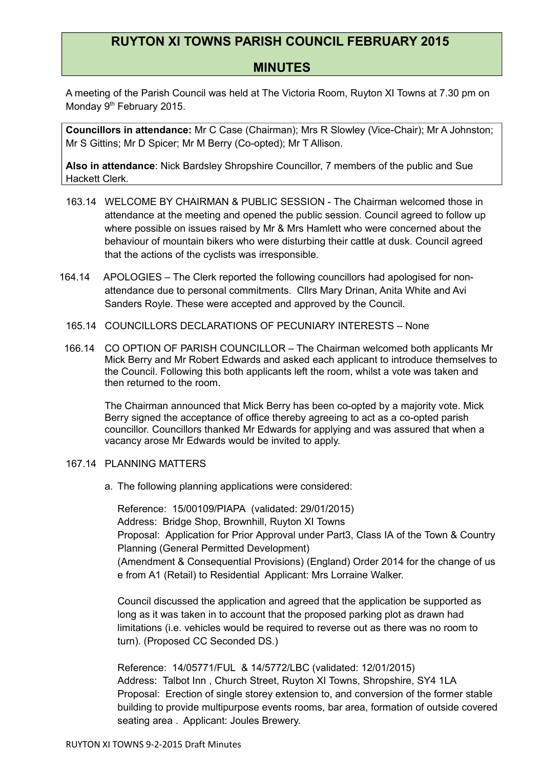# **RUYTON XI TOWNS PARISH COUNCIL FEBRUARY 2015**

# **MINUTES**

A meeting of the Parish Council was held at The Victoria Room, Ruyton XI Towns at 7.30 pm on Monday 9<sup>th</sup> February 2015.

**Councillors in attendance:** Mr C Case (Chairman); Mrs R Slowley (Vice-Chair); Mr A Johnston; Mr S Gittins; Mr D Spicer; Mr M Berry (Co-opted); Mr T Allison.

**Also in attendance**: Nick Bardsley Shropshire Councillor, 7 members of the public and Sue Hackett Clerk.

- 163.14 WELCOME BY CHAIRMAN & PUBLIC SESSION The Chairman welcomed those in attendance at the meeting and opened the public session. Council agreed to follow up where possible on issues raised by Mr & Mrs Hamlett who were concerned about the behaviour of mountain bikers who were disturbing their cattle at dusk. Council agreed that the actions of the cyclists was irresponsible.
- 164.14 APOLOGIES The Clerk reported the following councillors had apologised for nonattendance due to personal commitments. Cllrs Mary Drinan, Anita White and Avi Sanders Royle. These were accepted and approved by the Council.
- 165.14 COUNCILLORS DECLARATIONS OF PECUNIARY INTERESTS None
- 166.14 CO OPTION OF PARISH COUNCILLOR The Chairman welcomed both applicants Mr Mick Berry and Mr Robert Edwards and asked each applicant to introduce themselves to the Council. Following this both applicants left the room, whilst a vote was taken and then returned to the room.

The Chairman announced that Mick Berry has been co-opted by a majority vote. Mick Berry signed the acceptance of office thereby agreeing to act as a co-opted parish councillor. Councillors thanked Mr Edwards for applying and was assured that when a vacancy arose Mr Edwards would be invited to apply.

## 167.14 PLANNING MATTERS

a. The following planning applications were considered:

Reference: 15/00109/PIAPA (validated: 29/01/2015) Address: Bridge Shop, Brownhill, Ruyton XI Towns Proposal: Application for Prior Approval under Part3, Class IA of the Town & Country Planning (General Permitted Development) (Amendment & Consequential Provisions) (England) Order 2014 for the change of us e from A1 (Retail) to Residential Applicant: Mrs Lorraine Walker.

Council discussed the application and agreed that the application be supported as long as it was taken in to account that the proposed parking plot as drawn had limitations (i.e. vehicles would be required to reverse out as there was no room to turn). (Proposed CC Seconded DS.)

Reference: 14/05771/FUL & 14/5772/LBC (validated: 12/01/2015) Address: Talbot Inn , Church Street, Ruyton XI Towns, Shropshire, SY4 1LA Proposal: Erection of single storey extension to, and conversion of the former stable building to provide multipurpose events rooms, bar area, formation of outside covered seating area . Applicant: Joules Brewery.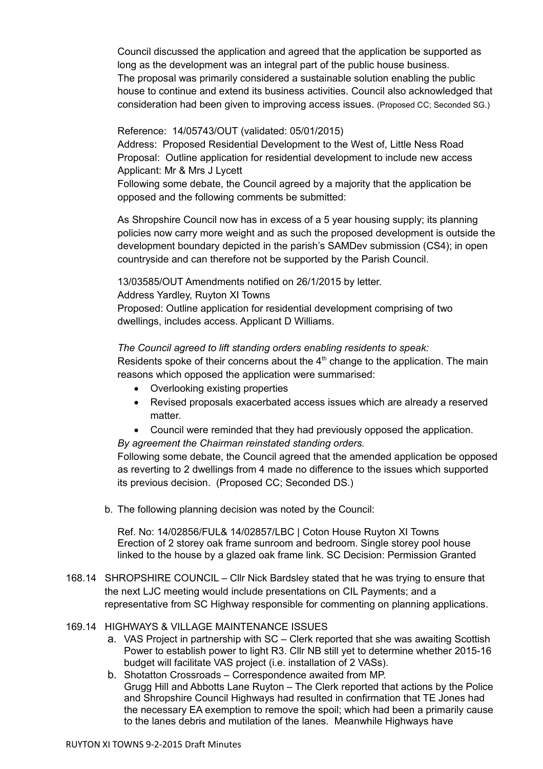Council discussed the application and agreed that the application be supported as long as the development was an integral part of the public house business. The proposal was primarily considered a sustainable solution enabling the public house to continue and extend its business activities. Council also acknowledged that consideration had been given to improving access issues. (Proposed CC; Seconded SG.)

# Reference: 14/05743/OUT (validated: 05/01/2015)

Address: Proposed Residential Development to the West of, Little Ness Road Proposal: Outline application for residential development to include new access Applicant: Mr & Mrs J Lycett

Following some debate, the Council agreed by a majority that the application be opposed and the following comments be submitted:

As Shropshire Council now has in excess of a 5 year housing supply; its planning policies now carry more weight and as such the proposed development is outside the development boundary depicted in the parish's SAMDev submission (CS4); in open countryside and can therefore not be supported by the Parish Council.

13/03585/OUT Amendments notified on 26/1/2015 by letter. Address Yardley, Ruyton XI Towns Proposed: Outline application for residential development comprising of two

dwellings, includes access. Applicant D Williams.

## *The Council agreed to lift standing orders enabling residents to speak:*

Residents spoke of their concerns about the  $4<sup>th</sup>$  change to the application. The main reasons which opposed the application were summarised:

- Overlooking existing properties
- Revised proposals exacerbated access issues which are already a reserved matter.
- Council were reminded that they had previously opposed the application.

*By agreement the Chairman reinstated standing orders.*

Following some debate, the Council agreed that the amended application be opposed as reverting to 2 dwellings from 4 made no difference to the issues which supported its previous decision. (Proposed CC; Seconded DS.)

b. The following planning decision was noted by the Council:

Ref. No: 14/02856/FUL& 14/02857/LBC | Coton House Ruyton XI Towns Erection of 2 storey oak frame sunroom and bedroom. Single storey pool house linked to the house by a glazed oak frame link. SC Decision: Permission Granted

168.14 SHROPSHIRE COUNCIL – Cllr Nick Bardsley stated that he was trying to ensure that the next LJC meeting would include presentations on CIL Payments; and a representative from SC Highway responsible for commenting on planning applications.

## 169.14 HIGHWAYS & VILLAGE MAINTENANCE ISSUES

- a. VAS Project in partnership with SC Clerk reported that she was awaiting Scottish Power to establish power to light R3. Cllr NB still yet to determine whether 2015-16 budget will facilitate VAS project (i.e. installation of 2 VASs).
- b. Shotatton Crossroads Correspondence awaited from MP. Grugg Hill and Abbotts Lane Ruyton – The Clerk reported that actions by the Police and Shropshire Council Highways had resulted in confirmation that TE Jones had the necessary EA exemption to remove the spoil; which had been a primarily cause to the lanes debris and mutilation of the lanes. Meanwhile Highways have